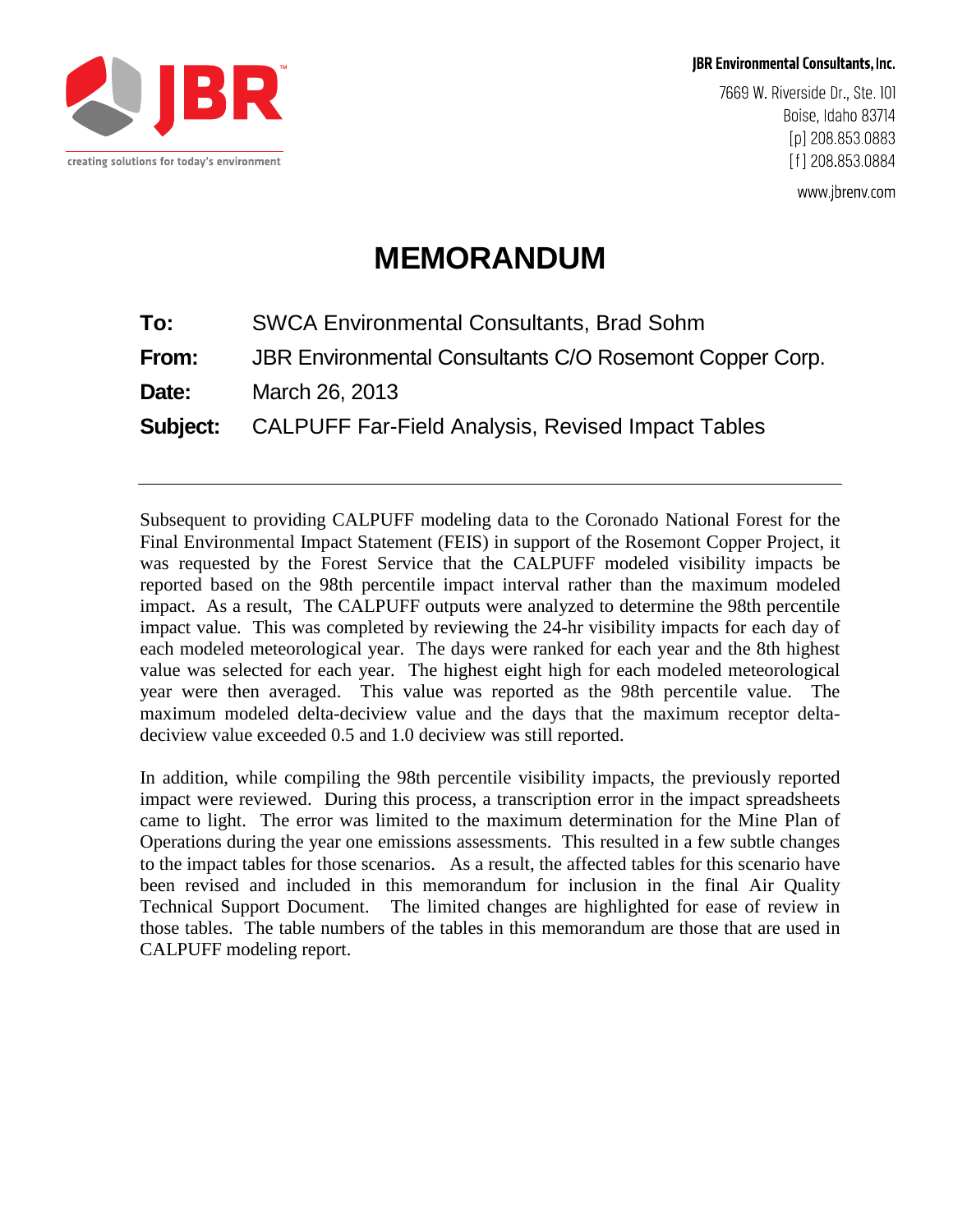

**JBR Environmental Consultants, Inc.** 

7669 W. Riverside Dr., Ste. 101 Boise, Idaho 83714 [p] 208 853 0883 [f] 208 853 0884

www.jbrenv.com

# **MEMORANDUM**

| To:   | <b>SWCA Environmental Consultants, Brad Sohm</b>                  |
|-------|-------------------------------------------------------------------|
| From: | JBR Environmental Consultants C/O Rosemont Copper Corp.           |
| Date: | March 26, 2013                                                    |
|       | <b>Subject:</b> CALPUFF Far-Field Analysis, Revised Impact Tables |
|       |                                                                   |

Subsequent to providing CALPUFF modeling data to the Coronado National Forest for the Final Environmental Impact Statement (FEIS) in support of the Rosemont Copper Project, it was requested by the Forest Service that the CALPUFF modeled visibility impacts be reported based on the 98th percentile impact interval rather than the maximum modeled impact. As a result, The CALPUFF outputs were analyzed to determine the 98th percentile impact value. This was completed by reviewing the 24-hr visibility impacts for each day of each modeled meteorological year. The days were ranked for each year and the 8th highest value was selected for each year. The highest eight high for each modeled meteorological year were then averaged. This value was reported as the 98th percentile value. The maximum modeled delta-deciview value and the days that the maximum receptor deltadeciview value exceeded 0.5 and 1.0 deciview was still reported.

In addition, while compiling the 98th percentile visibility impacts, the previously reported impact were reviewed. During this process, a transcription error in the impact spreadsheets came to light. The error was limited to the maximum determination for the Mine Plan of Operations during the year one emissions assessments. This resulted in a few subtle changes to the impact tables for those scenarios. As a result, the affected tables for this scenario have been revised and included in this memorandum for inclusion in the final Air Quality Technical Support Document. The limited changes are highlighted for ease of review in those tables. The table numbers of the tables in this memorandum are those that are used in CALPUFF modeling report.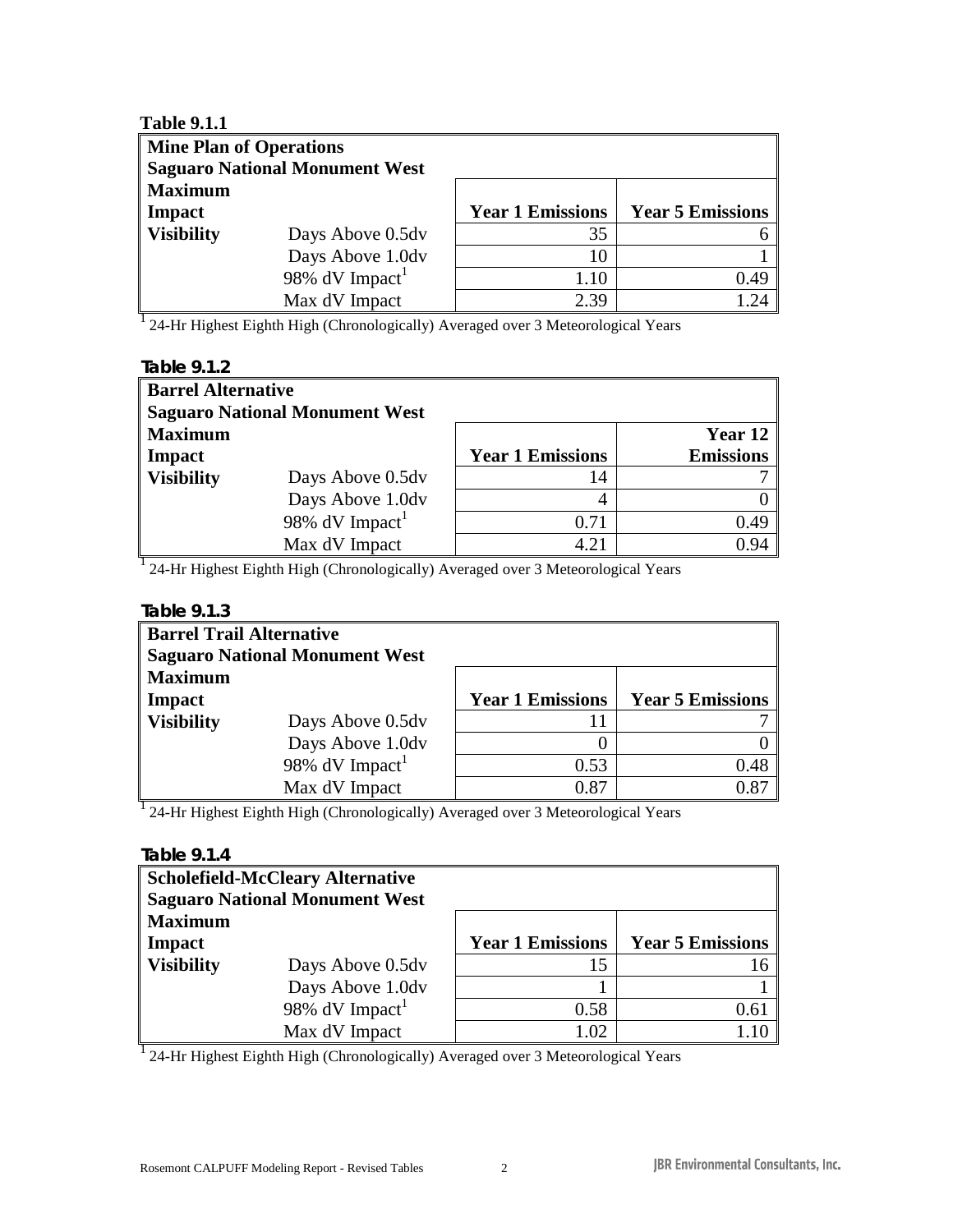| <b>Table 9.1.1</b> |                                       |                         |                          |
|--------------------|---------------------------------------|-------------------------|--------------------------|
|                    | <b>Mine Plan of Operations</b>        |                         |                          |
|                    | <b>Saguaro National Monument West</b> |                         |                          |
| <b>Maximum</b>     |                                       |                         |                          |
| Impact             |                                       | <b>Year 1 Emissions</b> | <b>Year 5 Emissions</b>  |
| <b>Visibility</b>  | Days Above 0.5dv                      | 35                      |                          |
|                    | Days Above 1.0dv                      | 10                      |                          |
|                    | 98% $dV$ Impact <sup>1</sup>          | 1.10                    | 0.49                     |
|                    | Max dV Impact                         | 2.39                    | $\mathcal{D}\mathcal{A}$ |

| Table 9.1.2       |                                       |                         |                  |  |  |
|-------------------|---------------------------------------|-------------------------|------------------|--|--|
|                   | <b>Barrel Alternative</b>             |                         |                  |  |  |
|                   | <b>Saguaro National Monument West</b> |                         |                  |  |  |
| <b>Maximum</b>    |                                       |                         | Year 12          |  |  |
| Impact            |                                       | <b>Year 1 Emissions</b> | <b>Emissions</b> |  |  |
| <b>Visibility</b> | Days Above 0.5dv                      | 14                      |                  |  |  |
|                   | Days Above 1.0dv                      | 4                       |                  |  |  |
|                   | 98% $dV$ Impact <sup>1</sup>          | 0.71                    | 0.49             |  |  |
|                   | Max dV Impact                         | 4.21                    | 0.94             |  |  |

<sup>1</sup> 24-Hr Highest Eighth High (Chronologically) Averaged over 3 Meteorological Years

| <b>Barrel Trail Alternative</b> | <b>Saguaro National Monument West</b> |                         |                         |
|---------------------------------|---------------------------------------|-------------------------|-------------------------|
| <b>Maximum</b><br><b>Impact</b> |                                       | <b>Year 1 Emissions</b> | <b>Year 5 Emissions</b> |
| <b>Visibility</b>               | Days Above 0.5dv                      | 11                      |                         |
|                                 | Days Above 1.0dv                      |                         |                         |
|                                 | 98% $dV$ Impact <sup>1</sup>          | 0.53                    | 0.48                    |
|                                 | Max dV Impact                         | 0.87                    | 0.87                    |

<sup>1</sup> 24-Hr Highest Eighth High (Chronologically) Averaged over 3 Meteorological Years

# **Table 9.1.4**

|                   | <b>Scholefield-McCleary Alternative</b><br><b>Saguaro National Monument West</b> |                         |                         |
|-------------------|----------------------------------------------------------------------------------|-------------------------|-------------------------|
| <b>Maximum</b>    |                                                                                  |                         |                         |
| <b>Impact</b>     |                                                                                  | <b>Year 1 Emissions</b> | <b>Year 5 Emissions</b> |
| <b>Visibility</b> | Days Above 0.5dv                                                                 | 15                      | 16                      |
|                   | Days Above 1.0dv                                                                 |                         |                         |
|                   | 98% $dV$ Impact <sup>1</sup>                                                     | 0.58                    | 0.61                    |
|                   | Max dV Impact                                                                    | 1.02                    |                         |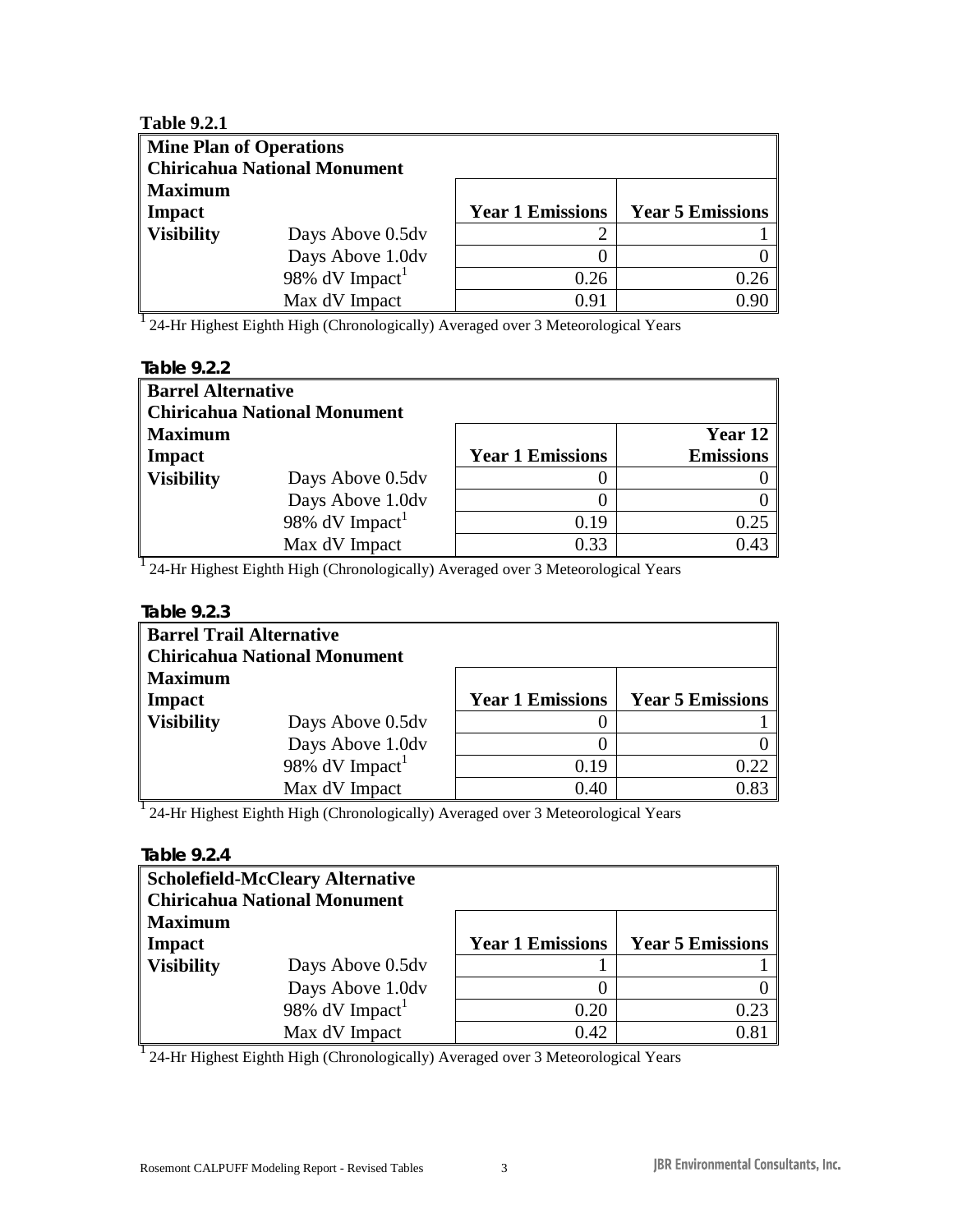| <b>Table 9.2.1</b> |                                     |                         |                         |  |
|--------------------|-------------------------------------|-------------------------|-------------------------|--|
|                    | <b>Mine Plan of Operations</b>      |                         |                         |  |
|                    | <b>Chiricahua National Monument</b> |                         |                         |  |
| <b>Maximum</b>     |                                     |                         |                         |  |
| Impact             |                                     | <b>Year 1 Emissions</b> | <b>Year 5 Emissions</b> |  |
| <b>Visibility</b>  | Days Above 0.5dv                    |                         |                         |  |
|                    | Days Above 1.0dv                    |                         |                         |  |
|                    | 98% $dV$ Impact <sup>1</sup>        | 0.26                    | 0.26                    |  |
|                    | Max dV Impact                       | 0.91                    | 0.90                    |  |

| Table 9.2.2       |                              |                         |                  |  |  |
|-------------------|------------------------------|-------------------------|------------------|--|--|
|                   | <b>Barrel Alternative</b>    |                         |                  |  |  |
|                   | Chiricahua National Monument |                         |                  |  |  |
| <b>Maximum</b>    |                              |                         | Year 12          |  |  |
| Impact            |                              | <b>Year 1 Emissions</b> | <b>Emissions</b> |  |  |
| <b>Visibility</b> | Days Above 0.5dv             |                         |                  |  |  |
|                   | Days Above 1.0dv             |                         |                  |  |  |
|                   | 98% $dV$ Impact <sup>1</sup> | 0.19                    | 0.25             |  |  |
|                   | Max dV Impact                | 0.33                    | 0.43             |  |  |

<sup>1</sup> 24-Hr Highest Eighth High (Chronologically) Averaged over 3 Meteorological Years

# **Table 9.2.3**

| <b>Barrel Trail Alternative</b> | <b>Chiricahua National Monument</b> |                         |                         |
|---------------------------------|-------------------------------------|-------------------------|-------------------------|
| <b>Maximum</b><br>Impact        |                                     | <b>Year 1 Emissions</b> | <b>Year 5 Emissions</b> |
| <b>Visibility</b>               | Days Above 0.5dv                    |                         |                         |
|                                 | Days Above 1.0dv                    |                         |                         |
|                                 | 98% $dV$ Impact <sup>1</sup>        | 0.19                    | 0.22                    |
|                                 | Max dV Impact                       | 0.40                    | 0.83                    |

<sup>1</sup> 24-Hr Highest Eighth High (Chronologically) Averaged over 3 Meteorological Years

# **Table 9.2.4**

|                   | <b>Scholefield-McCleary Alternative</b> |                         |                         |
|-------------------|-----------------------------------------|-------------------------|-------------------------|
|                   | <b>Chiricahua National Monument</b>     |                         |                         |
| <b>Maximum</b>    |                                         |                         |                         |
| Impact            |                                         | <b>Year 1 Emissions</b> | <b>Year 5 Emissions</b> |
| <b>Visibility</b> | Days Above 0.5dv                        |                         |                         |
|                   | Days Above 1.0dv                        |                         |                         |
|                   | 98% $dV$ Impact <sup>1</sup>            | 0.20                    | 0.23                    |
|                   | Max dV Impact                           | 0.42                    | 0.81                    |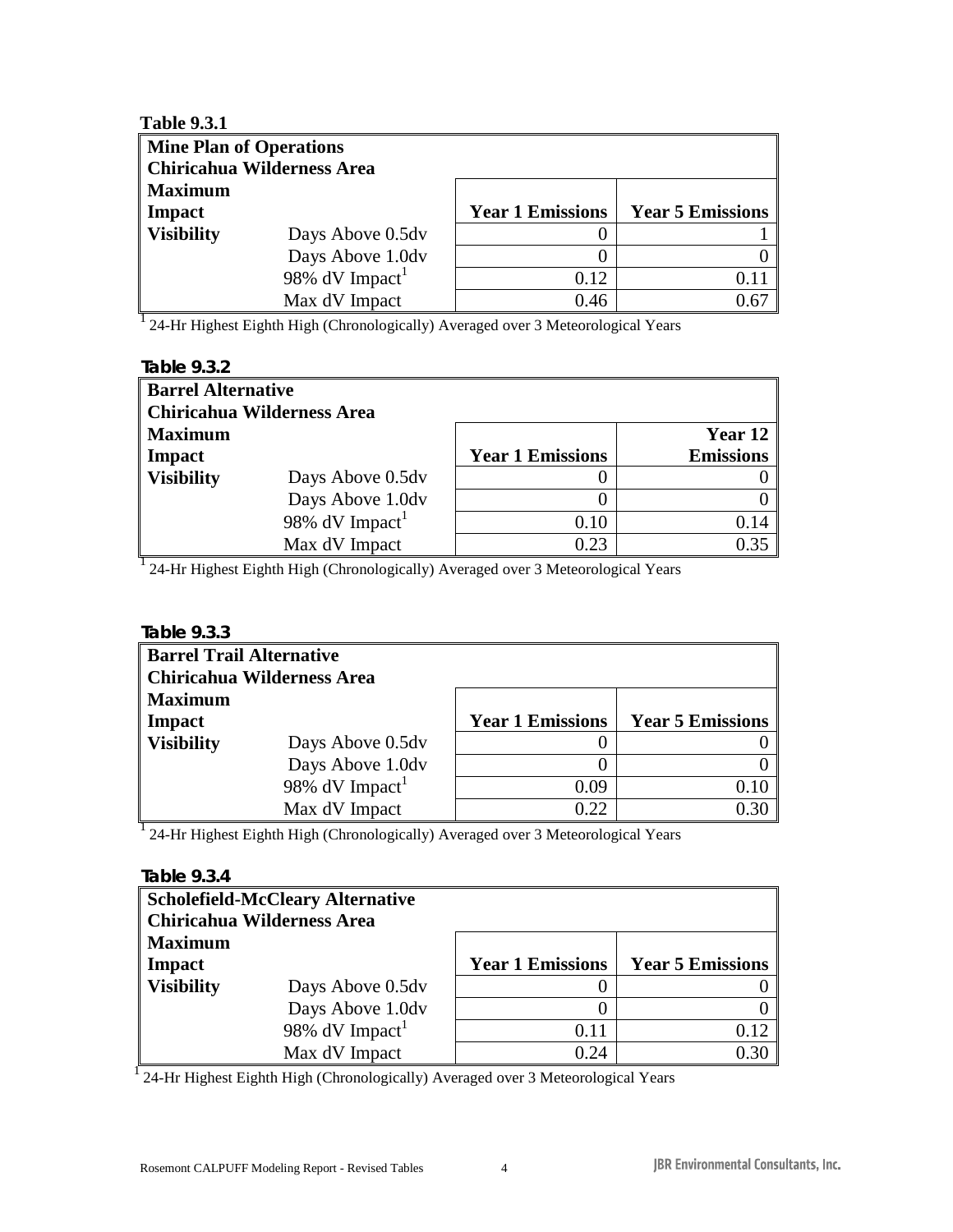| <b>Table 9.3.1</b> |                                   |                         |                         |  |
|--------------------|-----------------------------------|-------------------------|-------------------------|--|
|                    | <b>Mine Plan of Operations</b>    |                         |                         |  |
|                    | <b>Chiricahua Wilderness Area</b> |                         |                         |  |
| <b>Maximum</b>     |                                   |                         |                         |  |
| Impact             |                                   | <b>Year 1 Emissions</b> | <b>Year 5 Emissions</b> |  |
| <b>Visibility</b>  | Days Above 0.5dv                  | 0                       |                         |  |
|                    | Days Above 1.0dv                  | 0                       |                         |  |
|                    | 98% $dV$ Impact <sup>1</sup>      | 0.12                    |                         |  |
|                    | Max dV Impact                     | 0.46                    | 0.67                    |  |

| Table 9.3.2       |                                   |                         |                  |  |  |
|-------------------|-----------------------------------|-------------------------|------------------|--|--|
|                   | <b>Barrel Alternative</b>         |                         |                  |  |  |
|                   | <b>Chiricahua Wilderness Area</b> |                         |                  |  |  |
| <b>Maximum</b>    |                                   |                         | Year 12          |  |  |
| Impact            |                                   | <b>Year 1 Emissions</b> | <b>Emissions</b> |  |  |
| <b>Visibility</b> | Days Above 0.5dv                  |                         |                  |  |  |
|                   | Days Above 1.0dv                  |                         |                  |  |  |
|                   | 98% $dV$ Impact <sup>1</sup>      | 0.10                    | 0.14             |  |  |
|                   | Max dV Impact                     | 0.23                    | 0.35             |  |  |

<sup>1</sup> 24-Hr Highest Eighth High (Chronologically) Averaged over 3 Meteorological Years

#### **Table 9.3.3**

| <b>Barrel Trail Alternative</b> |                                   |                         |                         |  |  |  |
|---------------------------------|-----------------------------------|-------------------------|-------------------------|--|--|--|
|                                 | <b>Chiricahua Wilderness Area</b> |                         |                         |  |  |  |
| <b>Maximum</b>                  |                                   |                         |                         |  |  |  |
| Impact                          |                                   | <b>Year 1 Emissions</b> | <b>Year 5 Emissions</b> |  |  |  |
| <b>Visibility</b>               | Days Above 0.5dv                  |                         |                         |  |  |  |
|                                 | Days Above 1.0dv                  | $\left( \right)$        |                         |  |  |  |
|                                 | 98% dV Impact <sup>1</sup>        | 0.09                    | 0.10                    |  |  |  |
|                                 | Max dV Impact                     | 0.22                    | 0.30                    |  |  |  |
|                                 |                                   |                         |                         |  |  |  |

<sup>1</sup> 24-Hr Highest Eighth High (Chronologically) Averaged over 3 Meteorological Years

#### **Table 9.3.4**

|                   | <b>Scholefield-McCleary Alternative</b> |                         |                         |
|-------------------|-----------------------------------------|-------------------------|-------------------------|
|                   | Chiricahua Wilderness Area              |                         |                         |
| <b>Maximum</b>    |                                         |                         |                         |
| Impact            |                                         | <b>Year 1 Emissions</b> | <b>Year 5 Emissions</b> |
| <b>Visibility</b> | Days Above 0.5dv                        |                         |                         |
|                   | Days Above 1.0dv                        | 0                       |                         |
|                   | 98% $dV$ Impact <sup>1</sup>            | 0.11                    | 0.12                    |
|                   | Max dV Impact                           | 0.24                    | 0.30                    |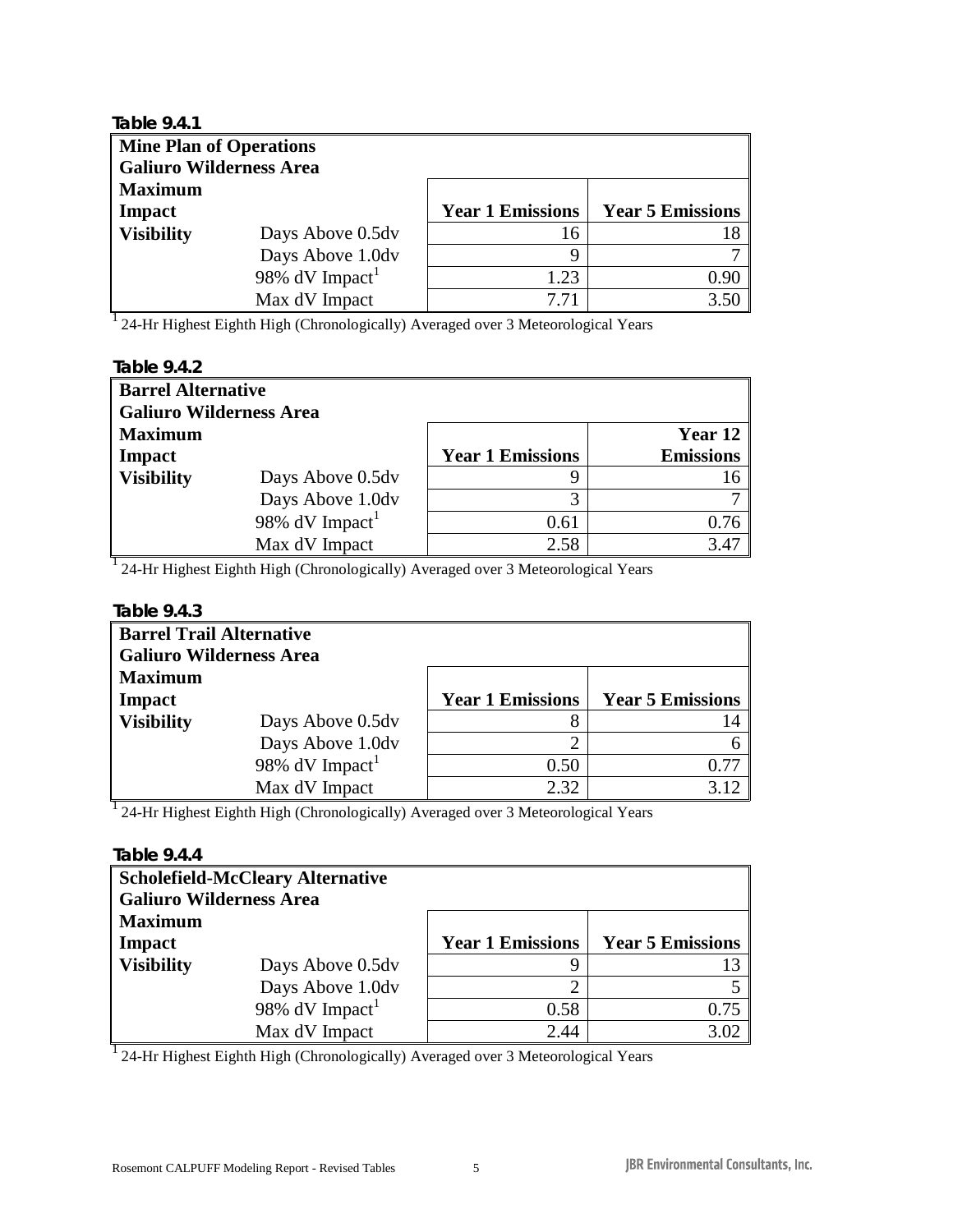| <b>Mine Plan of Operations</b> |                         |                         |
|--------------------------------|-------------------------|-------------------------|
| <b>Galiuro Wilderness Area</b> |                         |                         |
|                                |                         |                         |
|                                | <b>Year 1 Emissions</b> | <b>Year 5 Emissions</b> |
| Days Above 0.5dv               | 16                      |                         |
| Days Above 1.0dv               | 9                       |                         |
| 98% dV Impact <sup>1</sup>     | 1.23                    | 0.90                    |
| Max dV Impact                  | 7.71                    | 3.50                    |
|                                |                         |                         |

| Table 9.4.2                    |                              |                         |                  |  |  |  |
|--------------------------------|------------------------------|-------------------------|------------------|--|--|--|
|                                | <b>Barrel Alternative</b>    |                         |                  |  |  |  |
| <b>Galiuro Wilderness Area</b> |                              |                         |                  |  |  |  |
| <b>Maximum</b>                 |                              |                         | Year 12          |  |  |  |
| <b>Impact</b>                  |                              | <b>Year 1 Emissions</b> | <b>Emissions</b> |  |  |  |
| <b>Visibility</b>              | Days Above 0.5dv             | 9                       | 16               |  |  |  |
|                                | Days Above 1.0dv             | 3                       |                  |  |  |  |
|                                | 98% $dV$ Impact <sup>1</sup> | 0.61                    | 0.76             |  |  |  |
|                                | Max dV Impact                | 2.58                    | 3.47             |  |  |  |

<sup>1</sup> 24-Hr Highest Eighth High (Chronologically) Averaged over 3 Meteorological Years

#### **Table 9.4.3**

| <b>Barrel Trail Alternative</b><br><b>Galiuro Wilderness Area</b> |                         |                         |
|-------------------------------------------------------------------|-------------------------|-------------------------|
| <b>Maximum</b><br>Impact                                          | <b>Year 1 Emissions</b> | <b>Year 5 Emissions</b> |
| <b>Visibility</b><br>Days Above 0.5dv                             | 8                       |                         |
| Days Above 1.0dv                                                  | າ                       |                         |
| 98% $dV$ Impact <sup>1</sup>                                      | 0.50                    | በ 77                    |
| Max dV Impact                                                     | 2.32                    |                         |

<sup>1</sup> 24-Hr Highest Eighth High (Chronologically) Averaged over 3 Meteorological Years

#### **Table 9.4.4**

| <b>Galiuro Wilderness Area</b> | <b>Scholefield-McCleary Alternative</b> |                         |                         |
|--------------------------------|-----------------------------------------|-------------------------|-------------------------|
| <b>Maximum</b>                 |                                         |                         |                         |
| <b>Impact</b>                  |                                         | <b>Year 1 Emissions</b> | <b>Year 5 Emissions</b> |
| <b>Visibility</b>              | Days Above 0.5dv                        |                         |                         |
|                                | Days Above 1.0dv                        | ി                       |                         |
|                                | 98% $dV$ Impact <sup>1</sup>            | 0.58                    | 0.75                    |
|                                | Max dV Impact                           | 2.44                    | 3.02                    |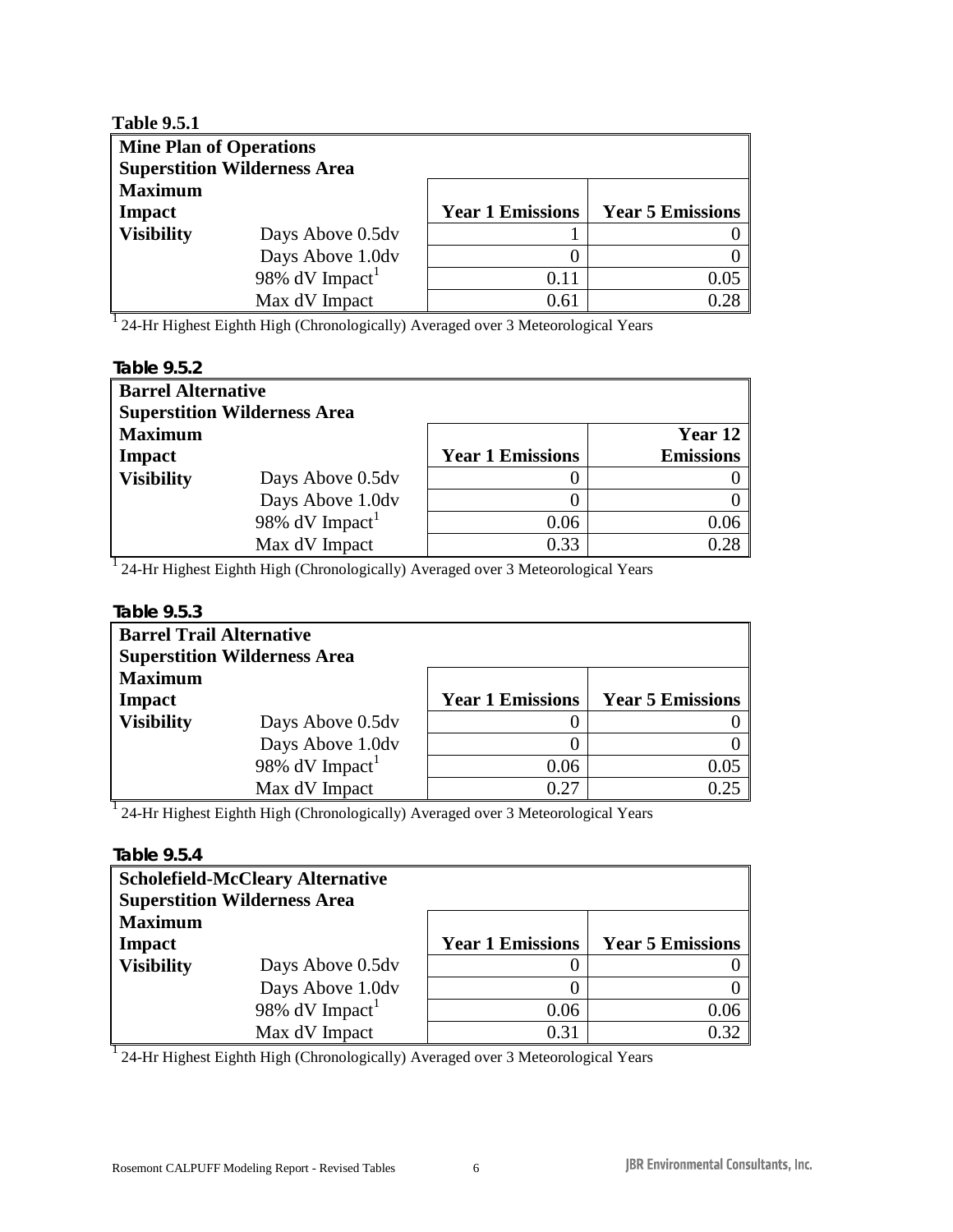| <b>Table 9.5.1</b>             |                                     |                         |                         |
|--------------------------------|-------------------------------------|-------------------------|-------------------------|
| <b>Mine Plan of Operations</b> |                                     |                         |                         |
|                                | <b>Superstition Wilderness Area</b> |                         |                         |
| <b>Maximum</b>                 |                                     |                         |                         |
| Impact                         |                                     | <b>Year 1 Emissions</b> | <b>Year 5 Emissions</b> |
| <b>Visibility</b>              | Days Above 0.5dv                    |                         |                         |
|                                | Days Above 1.0dv                    |                         |                         |
|                                | 98% $dV$ Impact <sup>1</sup>        | 0.11                    | 0.05                    |
|                                | Max dV Impact                       | 0.61                    | 0.28                    |

| Table 9.5.2               |                                     |                         |                  |
|---------------------------|-------------------------------------|-------------------------|------------------|
| <b>Barrel Alternative</b> |                                     |                         |                  |
|                           | <b>Superstition Wilderness Area</b> |                         |                  |
| <b>Maximum</b>            |                                     |                         | Year 12          |
| Impact                    |                                     | <b>Year 1 Emissions</b> | <b>Emissions</b> |
| <b>Visibility</b>         | Days Above 0.5dv                    |                         |                  |
|                           | Days Above 1.0dv                    |                         |                  |
|                           | 98% $dV$ Impact <sup>1</sup>        | 0.06                    | 0.06             |
|                           | Max dV Impact                       | 0.33                    | 0.28             |

<sup>1</sup> 24-Hr Highest Eighth High (Chronologically) Averaged over 3 Meteorological Years

#### **Table 9.5.3**

| <b>Barrel Trail Alternative</b> |                                     |                         |                         |
|---------------------------------|-------------------------------------|-------------------------|-------------------------|
|                                 | <b>Superstition Wilderness Area</b> |                         |                         |
| <b>Maximum</b>                  |                                     |                         |                         |
| Impact                          |                                     | <b>Year 1 Emissions</b> | <b>Year 5 Emissions</b> |
| <b>Visibility</b>               | Days Above 0.5dv                    | $\theta$                |                         |
|                                 | Days Above 1.0dv                    | $\theta$                |                         |
|                                 | 98% $dV$ Impact <sup>1</sup>        | 0.06                    | 0.05                    |
|                                 | Max dV Impact                       | 0.27                    | 0.25                    |
|                                 |                                     |                         |                         |

<sup>1</sup> 24-Hr Highest Eighth High (Chronologically) Averaged over 3 Meteorological Years

# **Table 9.5.4**

|                   | <b>Scholefield-McCleary Alternative</b><br><b>Superstition Wilderness Area</b> |                         |                         |
|-------------------|--------------------------------------------------------------------------------|-------------------------|-------------------------|
| <b>Maximum</b>    |                                                                                |                         |                         |
| <b>Impact</b>     |                                                                                | <b>Year 1 Emissions</b> | <b>Year 5 Emissions</b> |
| <b>Visibility</b> | Days Above 0.5dv                                                               |                         |                         |
|                   | Days Above 1.0dv                                                               |                         |                         |
|                   | 98% $dV$ Impact <sup>1</sup>                                                   | 0.06                    | 0.06                    |
|                   | Max dV Impact                                                                  | 0.31                    | 0.32                    |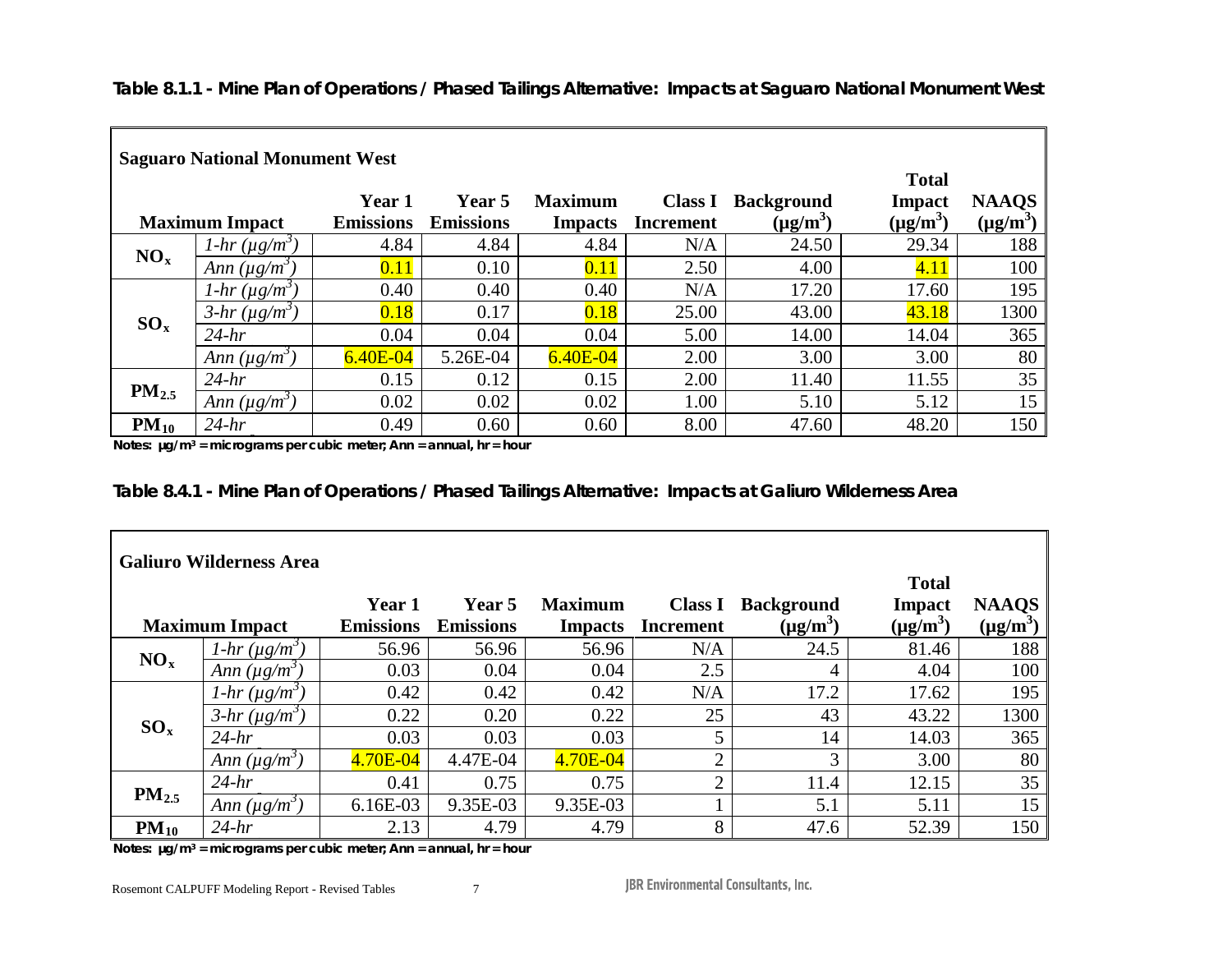*Table 8.1.1 - Mine Plan of Operations / Phased Tailings Alternative: Impacts at Saguaro National Monument West*

|                 | <b>Saguaro National Monument West</b> |                  |                  |                |                  |                   |               |               |
|-----------------|---------------------------------------|------------------|------------------|----------------|------------------|-------------------|---------------|---------------|
|                 |                                       |                  |                  |                |                  |                   | <b>Total</b>  |               |
|                 |                                       | Year 1           | Year 5           | <b>Maximum</b> | <b>Class I</b>   | <b>Background</b> | Impact        | <b>NAAQS</b>  |
|                 | <b>Maximum Impact</b>                 | <b>Emissions</b> | <b>Emissions</b> | <b>Impacts</b> | <b>Increment</b> | $(\mu g/m^3)$     | $(\mu g/m^3)$ | $(\mu g/m^3)$ |
| NO <sub>x</sub> | $1-hr (\mu g/m^3)$                    | 4.84             | 4.84             | 4.84           | N/A              | 24.50             | 29.34         | 188           |
|                 | Ann $(\mu g/m^3)$                     | 0.11             | 0.10             | 0.11           | 2.50             | 4.00              | 4.11          | 100           |
|                 | $1-hr(\mu g/m^3)$                     | 0.40             | 0.40             | 0.40           | N/A              | 17.20             | 17.60         | 195           |
| $SO_x$          | $3-hr (\mu g/m^3)$                    | 0.18             | 0.17             | 0.18           | 25.00            | 43.00             | 43.18         | 1300          |
|                 | $24-hr$                               | 0.04             | 0.04             | 0.04           | 5.00             | 14.00             | 14.04         | 365           |
|                 | Ann $(\mu g/m^3)$                     | $6.40E - 04$     | 5.26E-04         | $6.40E - 04$   | 2.00             | 3.00              | 3.00          | 80            |
|                 | $24-hr$                               | 0.15             | 0.12             | 0.15           | 2.00             | 11.40             | 11.55         | 35            |
| $PM_{2.5}$      | Ann $(\mu g/m^3)$                     | 0.02             | 0.02             | 0.02           | 1.00             | 5.10              | 5.12          | 15            |
| $PM_{10}$       | $24-hr$                               | 0.49             | 0.60             | 0.60           | 8.00             | 47.60             | 48.20         | 150           |

*3* **Notes: µg/m3 = micrograms per cubic meter; Ann = annual, hr = hour**

|  | Table 8.4.1 - Mine Plan of Operations / Phased Tailings Alternative: Impacts at Galiuro Wilderness Area |
|--|---------------------------------------------------------------------------------------------------------|
|  |                                                                                                         |

| <b>Galiuro Wilderness Area</b> |                    |                  |                  |                |                |                   |               |               |
|--------------------------------|--------------------|------------------|------------------|----------------|----------------|-------------------|---------------|---------------|
|                                |                    |                  |                  |                |                |                   | <b>Total</b>  |               |
|                                |                    | Year 1           | <b>Year</b> 5    | <b>Maximum</b> | <b>Class I</b> | <b>Background</b> | Impact        | <b>NAAQS</b>  |
| <b>Maximum Impact</b>          |                    | <b>Emissions</b> | <b>Emissions</b> | <b>Impacts</b> | Increment      | $(\mu g/m^3)$     | $(\mu g/m^3)$ | $(\mu g/m^3)$ |
| NO <sub>x</sub>                | $1-hr (\mu g/m^3)$ | 56.96            | 56.96            | 56.96          | N/A            | 24.5              | 81.46         | 188           |
|                                | Ann $(\mu g/m^3)$  | 0.03             | 0.04             | 0.04           | 2.5            | 4                 | 4.04          | 100           |
| $SO_x$                         | $1-hr(\mu g/m^3)$  | 0.42             | 0.42             | 0.42           | N/A            | 17.2              | 17.62         | 195           |
|                                | $3-hr (\mu g/m^3)$ | 0.22             | 0.20             | 0.22           | 25             | 43                | 43.22         | 1300          |
|                                | $24-hr$            | 0.03             | 0.03             | 0.03           | 5              | 14                | 14.03         | 365           |
|                                | Ann $(\mu g/m^3)$  | 4.70E-04         | 4.47E-04         | 4.70E-04       | $\overline{2}$ | 3                 | 3.00          | 80            |
| $PM_{2.5}$                     | $24-hr$            | 0.41             | 0.75             | 0.75           | $\mathcal{D}$  | 11.4              | 12.15         | 35            |
|                                | Ann $(\mu g/m^3)$  | $6.16E-03$       | 9.35E-03         | 9.35E-03       |                | 5.1               | 5.11          | 15            |
| $PM_{10}$                      | $24-hr$            | 2.13             | 4.79             | 4.79           | 8              | 47.6              | 52.39         | 150           |

*3* **Notes: µg/m3 = micrograms per cubic meter; Ann = annual, hr = hour**

Rosemont CALPUFF Modeling Report - Revised Tables 7